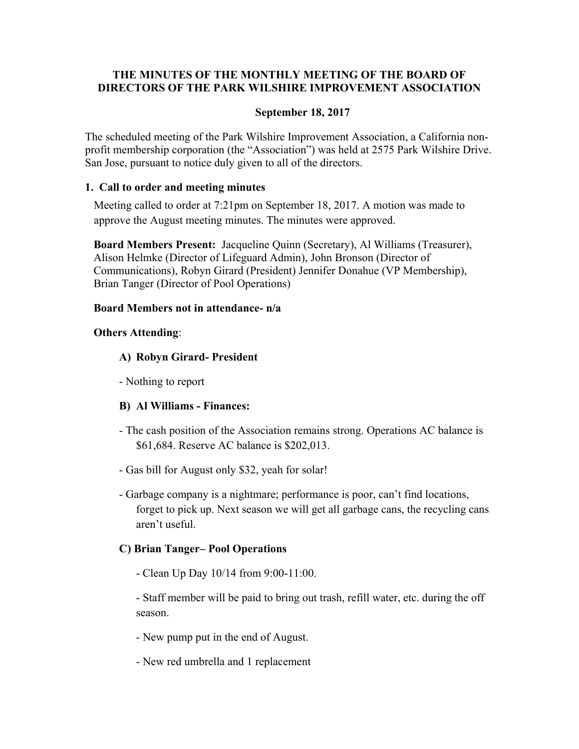# **THE MINUTES OF THE MONTHLY MEETING OF THE BOARD OF DIRECTORS OF THE PARK WILSHIRE IMPROVEMENT ASSOCIATION**

### **September 18, 2017**

The scheduled meeting of the Park Wilshire Improvement Association, a California nonprofit membership corporation (the "Association") was held at 2575 Park Wilshire Drive. San Jose, pursuant to notice duly given to all of the directors.

### **1. Call to order and meeting minutes**

Meeting called to order at 7:21pm on September 18, 2017. A motion was made to approve the August meeting minutes. The minutes were approved.

**Board Members Present:** Jacqueline Quinn (Secretary), Al Williams (Treasurer), Alison Helmke (Director of Lifeguard Admin), John Bronson (Director of Communications), Robyn Girard (President) Jennifer Donahue (VP Membership), Brian Tanger (Director of Pool Operations)

## **Board Members not in attendance- n/a**

## **Others Attending**:

## **A) Robyn Girard- President**

- Nothing to report

# **B) Al Williams - Finances:**

- The cash position of the Association remains strong. Operations AC balance is \$61,684. Reserve AC balance is \$202,013.
- Gas bill for August only \$32, yeah for solar!
- Garbage company is a nightmare; performance is poor, can't find locations, forget to pick up. Next season we will get all garbage cans, the recycling cans aren't useful.

# **C) Brian Tanger– Pool Operations**

- Clean Up Day 10/14 from 9:00-11:00.

 - Staff member will be paid to bring out trash, refill water, etc. during the off season.

- New pump put in the end of August.
- New red umbrella and 1 replacement